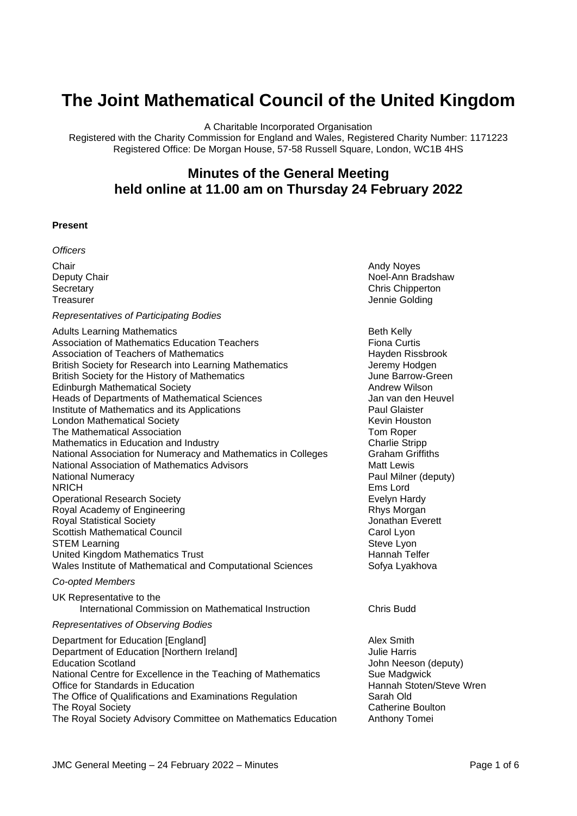# **The Joint Mathematical Council of the United Kingdom**

A Charitable Incorporated Organisation

Registered with the Charity Commission for England and Wales, Registered Charity Number: 1171223 Registered Office: De Morgan House, 57-58 Russell Square, London, WC1B 4HS

# **Minutes of the General Meeting held online at 11.00 am on Thursday 24 February 2022**

#### **Present**

*Officers*

**Chair Chair Chair Chair Chair Chair Chair Chair Chair Chair Chair Chair Chair Chair Chair Chair Chair Chair Chair Chair Chair Chair Chair Chair Chair Chair Chair Chair** 

#### *Representatives of Participating Bodies*

| <b>Adults Learning Mathematics</b><br>Association of Mathematics Education Teachers |
|-------------------------------------------------------------------------------------|
| Association of Teachers of Mathematics                                              |
| British Society for Research into Learning Mathematics                              |
| British Society for the History of Mathematics                                      |
| <b>Edinburgh Mathematical Society</b>                                               |
| <b>Heads of Departments of Mathematical Sciences</b>                                |
| Institute of Mathematics and its Applications                                       |
| <b>London Mathematical Society</b>                                                  |
| The Mathematical Association                                                        |
| Mathematics in Education and Industry                                               |
| National Association for Numeracy and Mathematics in Colleges                       |
| National Association of Mathematics Advisors                                        |
| <b>National Numeracy</b>                                                            |
| NRICH                                                                               |
| <b>Operational Research Society</b>                                                 |
| Royal Academy of Engineering<br><b>Royal Statistical Society</b>                    |
| <b>Scottish Mathematical Council</b>                                                |
| <b>STEM Learning</b>                                                                |
| United Kingdom Mathematics Trust                                                    |
| Wales Institute of Mathematical and Computational Sciences                          |
|                                                                                     |

#### *Co-opted Members*

UK Representative to the International Commission on Mathematical Instruction Chris Budd

#### *Representatives of Observing Bodies*

Department for Education [England] Department for Education [Alex Smith] Department of Education [Northern Ireland] Julie Harris Education Scotland John Neeson (deputy) National Centre for Excellence in the Teaching of Mathematics Sue Madgwick Office for Standards in Education **Hannah Stoten/Steve Wren** The Office of Qualifications and Examinations Regulation Sarah Old The Royal Society **Catherine Boulton** The Royal Society Advisory Committee on Mathematics Education Anthony Tomei

**Deputy Chair Noel-Ann Bradshaw** Noel-Ann Bradshaw Secretary Chris Chipperton<br>
Treasurer Chris Chipperton<br>
Secretary Chris Chipperton<br>
Chris Chipperton<br>
Chris Chipperton Jennie Golding

> **Beth Kelly Fiona Curtis** Hayden Rissbrook Jeremy Hodgen June Barrow-Green **Andrew Wilson** Jan van den Heuvel Paul Glaister Kevin Houston Tom Roper **Charlie Stripp Graham Griffiths Matt Lewis** Paul Milner (deputy) Ems Lord Evelyn Hardy Rhys Morgan Jonathan Everett Carol Lyon Steve Lyon Hannah Telfer Sofya Lyakhova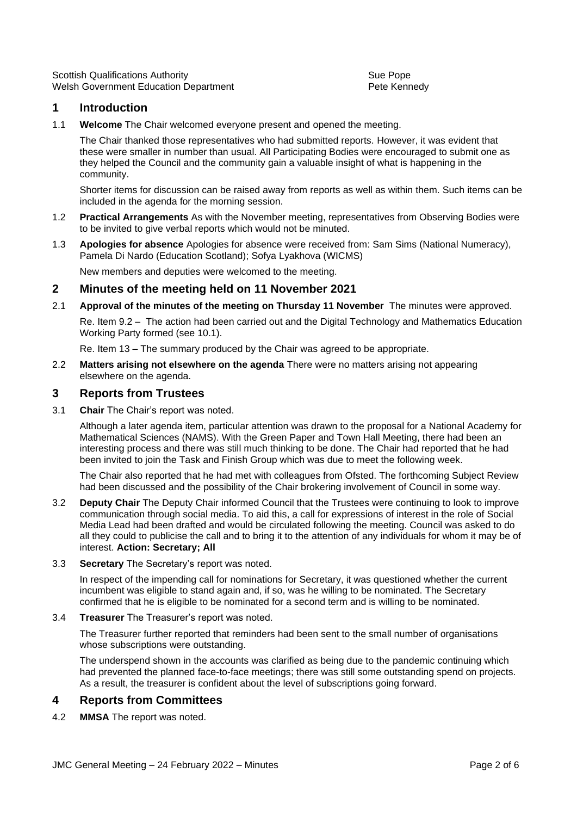Scottish Qualifications Authority **Supersets** Sue Pope Sue Pope Welsh Government Education Department **Peters** Pete Kennedy

# **1 Introduction**

1.1 **Welcome** The Chair welcomed everyone present and opened the meeting.

The Chair thanked those representatives who had submitted reports. However, it was evident that these were smaller in number than usual. All Participating Bodies were encouraged to submit one as they helped the Council and the community gain a valuable insight of what is happening in the community.

Shorter items for discussion can be raised away from reports as well as within them. Such items can be included in the agenda for the morning session.

- 1.2 **Practical Arrangements** As with the November meeting, representatives from Observing Bodies were to be invited to give verbal reports which would not be minuted.
- 1.3 **Apologies for absence** Apologies for absence were received from: Sam Sims (National Numeracy), Pamela Di Nardo (Education Scotland); Sofya Lyakhova (WICMS)

New members and deputies were welcomed to the meeting.

#### **2 Minutes of the meeting held on 11 November 2021**

2.1 **Approval of the minutes of the meeting on Thursday 11 November** The minutes were approved.

Re. Item 9.2 – The action had been carried out and the Digital Technology and Mathematics Education Working Party formed (see 10.1).

Re. Item 13 – The summary produced by the Chair was agreed to be appropriate.

2.2 **Matters arising not elsewhere on the agenda** There were no matters arising not appearing elsewhere on the agenda.

#### **3 Reports from Trustees**

3.1 **Chair** The Chair's report was noted.

Although a later agenda item, particular attention was drawn to the proposal for a National Academy for Mathematical Sciences (NAMS). With the Green Paper and Town Hall Meeting, there had been an interesting process and there was still much thinking to be done. The Chair had reported that he had been invited to join the Task and Finish Group which was due to meet the following week.

The Chair also reported that he had met with colleagues from Ofsted. The forthcoming Subject Review had been discussed and the possibility of the Chair brokering involvement of Council in some way.

- 3.2 **Deputy Chair** The Deputy Chair informed Council that the Trustees were continuing to look to improve communication through social media. To aid this, a call for expressions of interest in the role of Social Media Lead had been drafted and would be circulated following the meeting. Council was asked to do all they could to publicise the call and to bring it to the attention of any individuals for whom it may be of interest. **Action: Secretary; All**
- 3.3 **Secretary** The Secretary's report was noted.

In respect of the impending call for nominations for Secretary, it was questioned whether the current incumbent was eligible to stand again and, if so, was he willing to be nominated. The Secretary confirmed that he is eligible to be nominated for a second term and is willing to be nominated.

#### 3.4 **Treasurer** The Treasurer's report was noted.

The Treasurer further reported that reminders had been sent to the small number of organisations whose subscriptions were outstanding.

The underspend shown in the accounts was clarified as being due to the pandemic continuing which had prevented the planned face-to-face meetings; there was still some outstanding spend on projects. As a result, the treasurer is confident about the level of subscriptions going forward.

# **4 Reports from Committees**

4.2 **MMSA** The report was noted.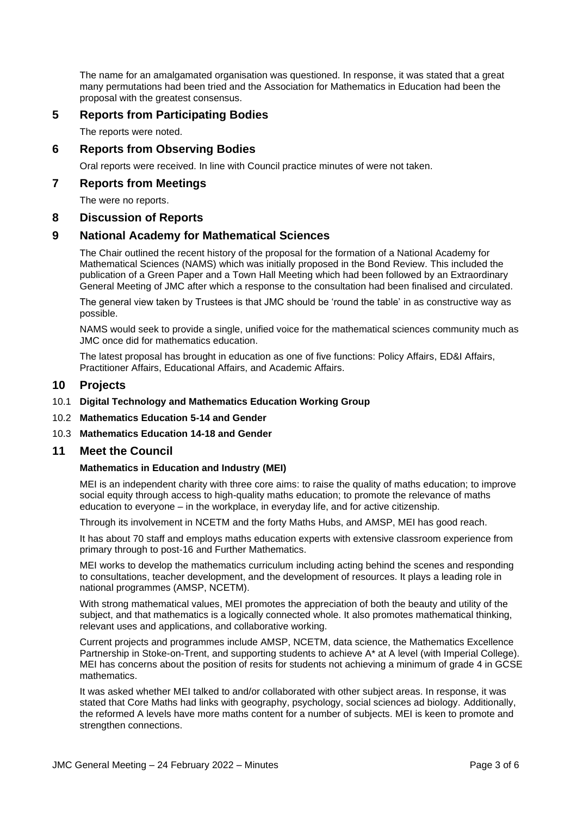The name for an amalgamated organisation was questioned. In response, it was stated that a great many permutations had been tried and the Association for Mathematics in Education had been the proposal with the greatest consensus.

# **5 Reports from Participating Bodies**

The reports were noted.

# **6 Reports from Observing Bodies**

Oral reports were received. In line with Council practice minutes of were not taken.

#### **7 Reports from Meetings**

The were no reports.

#### **8 Discussion of Reports**

# **9 National Academy for Mathematical Sciences**

The Chair outlined the recent history of the proposal for the formation of a National Academy for Mathematical Sciences (NAMS) which was initially proposed in the Bond Review. This included the publication of a Green Paper and a Town Hall Meeting which had been followed by an Extraordinary General Meeting of JMC after which a response to the consultation had been finalised and circulated.

The general view taken by Trustees is that JMC should be 'round the table' in as constructive way as possible.

NAMS would seek to provide a single, unified voice for the mathematical sciences community much as JMC once did for mathematics education.

The latest proposal has brought in education as one of five functions: Policy Affairs, ED&I Affairs, Practitioner Affairs, Educational Affairs, and Academic Affairs.

#### **10 Projects**

- 10.1 **Digital Technology and Mathematics Education Working Group**
- 10.2 **Mathematics Education 5-14 and Gender**
- 10.3 **Mathematics Education 14-18 and Gender**

#### **11 Meet the Council**

#### **Mathematics in Education and Industry (MEI)**

MEI is an independent charity with three core aims: to raise the quality of maths education; to improve social equity through access to high-quality maths education; to promote the relevance of maths education to everyone – in the workplace, in everyday life, and for active citizenship.

Through its involvement in NCETM and the forty Maths Hubs, and AMSP, MEI has good reach.

It has about 70 staff and employs maths education experts with extensive classroom experience from primary through to post-16 and Further Mathematics.

MEI works to develop the mathematics curriculum including acting behind the scenes and responding to consultations, teacher development, and the development of resources. It plays a leading role in national programmes (AMSP, NCETM).

With strong mathematical values, MEI promotes the appreciation of both the beauty and utility of the subject, and that mathematics is a logically connected whole. It also promotes mathematical thinking, relevant uses and applications, and collaborative working.

Current projects and programmes include AMSP, NCETM, data science, the Mathematics Excellence Partnership in Stoke-on-Trent, and supporting students to achieve A\* at A level (with Imperial College). MEI has concerns about the position of resits for students not achieving a minimum of grade 4 in GCSE mathematics.

It was asked whether MEI talked to and/or collaborated with other subject areas. In response, it was stated that Core Maths had links with geography, psychology, social sciences ad biology. Additionally, the reformed A levels have more maths content for a number of subjects. MEI is keen to promote and strengthen connections.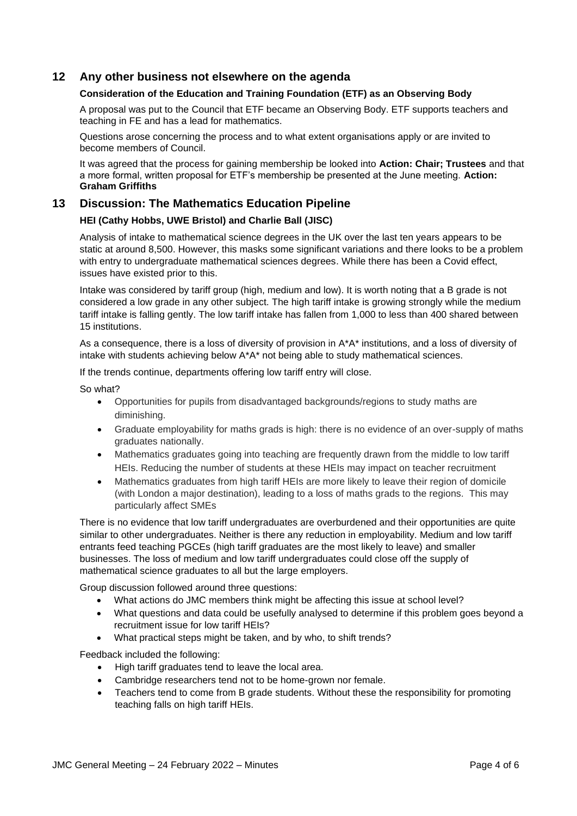# **12 Any other business not elsewhere on the agenda**

#### **Consideration of the Education and Training Foundation (ETF) as an Observing Body**

A proposal was put to the Council that ETF became an Observing Body. ETF supports teachers and teaching in FE and has a lead for mathematics.

Questions arose concerning the process and to what extent organisations apply or are invited to become members of Council.

It was agreed that the process for gaining membership be looked into **Action: Chair; Trustees** and that a more formal, written proposal for ETF's membership be presented at the June meeting. **Action: Graham Griffiths**

# **13 Discussion: The Mathematics Education Pipeline**

#### **HEI (Cathy Hobbs, UWE Bristol) and Charlie Ball (JISC)**

Analysis of intake to mathematical science degrees in the UK over the last ten years appears to be static at around 8,500. However, this masks some significant variations and there looks to be a problem with entry to undergraduate mathematical sciences degrees. While there has been a Covid effect, issues have existed prior to this.

Intake was considered by tariff group (high, medium and low). It is worth noting that a B grade is not considered a low grade in any other subject. The high tariff intake is growing strongly while the medium tariff intake is falling gently. The low tariff intake has fallen from 1,000 to less than 400 shared between 15 institutions.

As a consequence, there is a loss of diversity of provision in A\*A\* institutions, and a loss of diversity of intake with students achieving below A\*A\* not being able to study mathematical sciences.

If the trends continue, departments offering low tariff entry will close.

So what?

- Opportunities for pupils from disadvantaged backgrounds/regions to study maths are diminishing.
- Graduate employability for maths grads is high: there is no evidence of an over-supply of maths graduates nationally.
- Mathematics graduates going into teaching are frequently drawn from the middle to low tariff HEIs. Reducing the number of students at these HEIs may impact on teacher recruitment
- Mathematics graduates from high tariff HEIs are more likely to leave their region of domicile (with London a major destination), leading to a loss of maths grads to the regions. This may particularly affect SMEs

There is no evidence that low tariff undergraduates are overburdened and their opportunities are quite similar to other undergraduates. Neither is there any reduction in employability. Medium and low tariff entrants feed teaching PGCEs (high tariff graduates are the most likely to leave) and smaller businesses. The loss of medium and low tariff undergraduates could close off the supply of mathematical science graduates to all but the large employers.

Group discussion followed around three questions:

- What actions do JMC members think might be affecting this issue at school level?
- What questions and data could be usefully analysed to determine if this problem goes beyond a recruitment issue for low tariff HEIs?
- What practical steps might be taken, and by who, to shift trends?

Feedback included the following:

- High tariff graduates tend to leave the local area.
- Cambridge researchers tend not to be home-grown nor female.
- Teachers tend to come from B grade students. Without these the responsibility for promoting teaching falls on high tariff HEIs.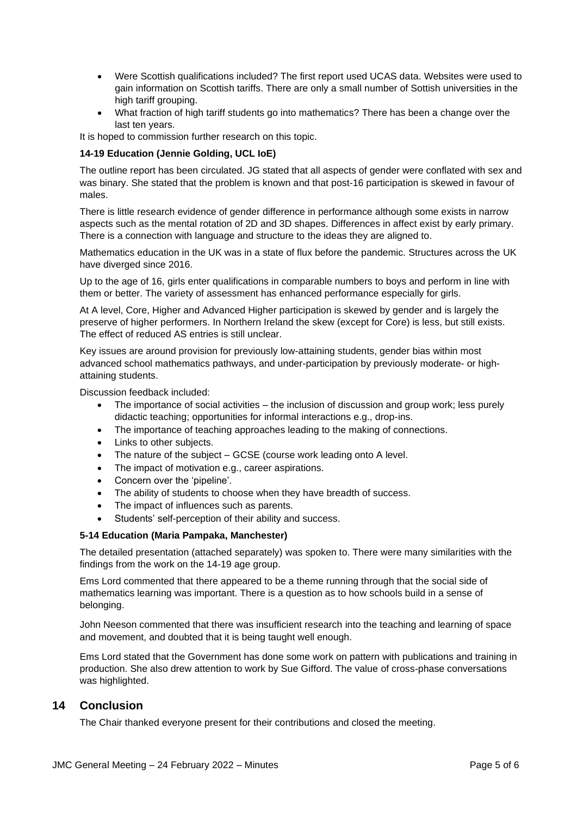- Were Scottish qualifications included? The first report used UCAS data. Websites were used to gain information on Scottish tariffs. There are only a small number of Sottish universities in the high tariff grouping.
- What fraction of high tariff students go into mathematics? There has been a change over the last ten years.

It is hoped to commission further research on this topic.

#### **14-19 Education (Jennie Golding, UCL IoE)**

The outline report has been circulated. JG stated that all aspects of gender were conflated with sex and was binary. She stated that the problem is known and that post-16 participation is skewed in favour of males.

There is little research evidence of gender difference in performance although some exists in narrow aspects such as the mental rotation of 2D and 3D shapes. Differences in affect exist by early primary. There is a connection with language and structure to the ideas they are aligned to.

Mathematics education in the UK was in a state of flux before the pandemic. Structures across the UK have diverged since 2016.

Up to the age of 16, girls enter qualifications in comparable numbers to boys and perform in line with them or better. The variety of assessment has enhanced performance especially for girls.

At A level, Core, Higher and Advanced Higher participation is skewed by gender and is largely the preserve of higher performers. In Northern Ireland the skew (except for Core) is less, but still exists. The effect of reduced AS entries is still unclear.

Key issues are around provision for previously low-attaining students, gender bias within most advanced school mathematics pathways, and under-participation by previously moderate- or highattaining students.

Discussion feedback included:

- The importance of social activities the inclusion of discussion and group work; less purely didactic teaching; opportunities for informal interactions e.g., drop-ins.
- The importance of teaching approaches leading to the making of connections.
- Links to other subjects.
- The nature of the subject GCSE (course work leading onto A level.
- The impact of motivation e.g., career aspirations.
- Concern over the 'pipeline'.
- The ability of students to choose when they have breadth of success.
- The impact of influences such as parents.
- Students' self-perception of their ability and success.

#### **5-14 Education (Maria Pampaka, Manchester)**

The detailed presentation (attached separately) was spoken to. There were many similarities with the findings from the work on the 14-19 age group.

Ems Lord commented that there appeared to be a theme running through that the social side of mathematics learning was important. There is a question as to how schools build in a sense of belonging.

John Neeson commented that there was insufficient research into the teaching and learning of space and movement, and doubted that it is being taught well enough.

Ems Lord stated that the Government has done some work on pattern with publications and training in production. She also drew attention to work by Sue Gifford. The value of cross-phase conversations was highlighted.

# **14 Conclusion**

The Chair thanked everyone present for their contributions and closed the meeting.